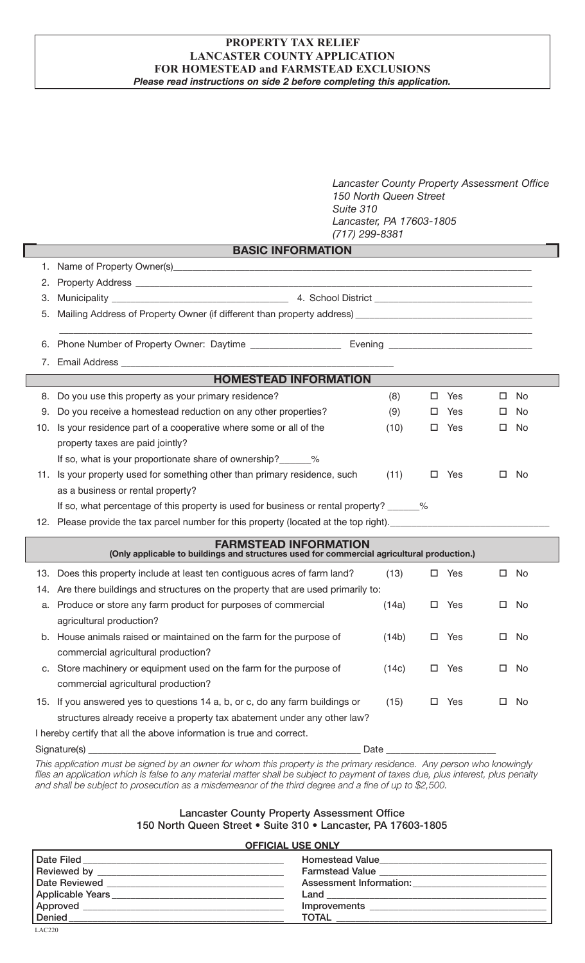## **PROPERTY TAX RELIEF LANCASTER COUNTY APPLICATION FOR HOMESTEAD and FARMSTEAD EXCLUSIONS** *Please read instructions on side 2 before completing this application.*

*Lancaster County Property Assessment Office 150 North Queen Street Suite 310 Lancaster, PA 17603-1805 (717) 299-8381*

|     |                                                                                                                                                                                                                                      | $(717)$ 299-8381 |    |     |   |           |
|-----|--------------------------------------------------------------------------------------------------------------------------------------------------------------------------------------------------------------------------------------|------------------|----|-----|---|-----------|
|     | <b>BASIC INFORMATION</b>                                                                                                                                                                                                             |                  |    |     |   |           |
| 1.  |                                                                                                                                                                                                                                      |                  |    |     |   |           |
| 2.  |                                                                                                                                                                                                                                      |                  |    |     |   |           |
| 3.  |                                                                                                                                                                                                                                      |                  |    |     |   |           |
| 5.  | Mailing Address of Property Owner (if different than property address) _____________________________                                                                                                                                 |                  |    |     |   |           |
| 6.  |                                                                                                                                                                                                                                      |                  |    |     |   |           |
| 7.  | Email Address <b>Email Address</b>                                                                                                                                                                                                   |                  |    |     |   |           |
|     | <b>HOMESTEAD INFORMATION</b>                                                                                                                                                                                                         |                  |    |     |   |           |
| 8.  | Do you use this property as your primary residence?                                                                                                                                                                                  | (8)              | □  | Yes | □ | <b>No</b> |
| 9.  | Do you receive a homestead reduction on any other properties?                                                                                                                                                                        | (9)              | ш  | Yes | □ | No.       |
| 10. | Is your residence part of a cooperative where some or all of the                                                                                                                                                                     | (10)             | □  | Yes | ш | No        |
|     | property taxes are paid jointly?                                                                                                                                                                                                     |                  |    |     |   |           |
|     | If so, what is your proportionate share of ownership? ______%                                                                                                                                                                        |                  |    |     |   |           |
| 11. | Is your property used for something other than primary residence, such                                                                                                                                                               | (11)             | □  | Yes | □ | No        |
|     | as a business or rental property?                                                                                                                                                                                                    |                  |    |     |   |           |
|     | If so, what percentage of this property is used for business or rental property? ______%                                                                                                                                             |                  |    |     |   |           |
|     | 12. Please provide the tax parcel number for this property (located at the top right). <u>The Charles Charles Charles Charles Charles Charles Charles Charles Charles Charles Charles Charles Charles Charles Charles Charles Ch</u> |                  |    |     |   |           |
|     | <b>FARMSTEAD INFORMATION</b>                                                                                                                                                                                                         |                  |    |     |   |           |
|     | (Only applicable to buildings and structures used for commercial agricultural production.)                                                                                                                                           |                  |    |     |   |           |
| 13. | Does this property include at least ten contiguous acres of farm land?                                                                                                                                                               | (13)             |    | Yes | □ | No        |
|     | 14. Are there buildings and structures on the property that are used primarily to:                                                                                                                                                   |                  |    |     |   |           |
| a.  | Produce or store any farm product for purposes of commercial                                                                                                                                                                         | (14a)            | 0  | Yes | □ | No        |
|     | agricultural production?                                                                                                                                                                                                             |                  |    |     |   |           |
| b.  | House animals raised or maintained on the farm for the purpose of                                                                                                                                                                    | (14b)            | □  | Yes | □ | No        |
|     | commercial agricultural production?                                                                                                                                                                                                  |                  |    |     |   |           |
|     | c. Store machinery or equipment used on the farm for the purpose of                                                                                                                                                                  | (14c)            | □  | Yes | □ | No        |
|     | commercial agricultural production?                                                                                                                                                                                                  |                  |    |     |   |           |
|     | 15. If you answered yes to questions 14 a, b, or c, do any farm buildings or                                                                                                                                                         | (15)             | □. | Yes | □ | No        |
|     | structures already receive a property tax abatement under any other law?                                                                                                                                                             |                  |    |     |   |           |
|     | I hereby certify that all the above information is true and correct.                                                                                                                                                                 |                  |    |     |   |           |
|     |                                                                                                                                                                                                                                      | Date _           |    |     |   |           |

*This application must be signed by an owner for whom this property is the primary residence. Any person who knowingly files an application which is false to any material matter shall be subject to payment of taxes due, plus interest, plus penalty and shall be subject to prosecution as a misdemeanor of the third degree and a fine of up to \$2,500.*

## Lancaster County Property Assessment Office 150 North Queen Street • Suite 310 • Lancaster, PA 17603-1805

# **OFFICIAL USE ONLY**

|                               | <b>Homestead Value</b>  |
|-------------------------------|-------------------------|
|                               | Farmstead Value         |
| <b>Date Reviewed</b>          | Assessment Information: |
| Applicable Years ____________ | Land $\qquad$           |
| Approved                      | Improvements            |
| Denied                        | <b>TOTAL</b>            |
| LAC220                        |                         |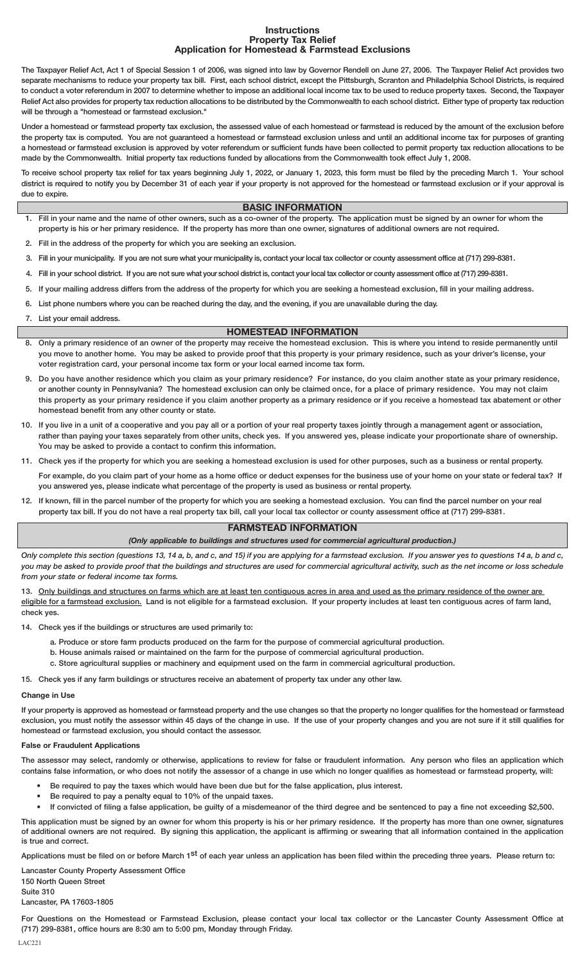#### **Instructions Property Tax Relief Application for Homestead & Farmstead Exclusions**

The Taxpayer Relief Act, Act 1 of Special Session 1 of 2006, was signed into law by Governor Rendell on June 27, 2006. The Taxpayer Relief Act provides two separate mechanisms to reduce your property tax bill. First, each school district, except the Pittsburgh, Scranton and Philadelphia School Districts, is required to conduct a voter referendum in 2007 to determine whether to impose an additional local income tax to be used to reduce property taxes. Second, the Taxpayer Relief Act also provides for property tax reduction allocations to be distributed by the Commonwealth to each school district. Either type of property tax reduction will be through a "homestead or farmstead exclusion."

Under a homestead or farmstead property tax exclusion, the assessed value of each homestead or farmstead is reduced by the amount of the exclusion before the property tax is computed. You are not guaranteed a homestead or farmstead exclusion unless and until an additional income tax for purposes of granting a homestead or farmstead exclusion is approved by voter referendum or sufficient funds have been collected to permit property tax reduction allocations to be made by the Commonwealth. Initial property tax reductions funded by allocations from the Commonwealth took effect July 1, 2008.

To receive school property tax relief for tax years beginning July 1, 2022, or January 1, 2023, this form must be filed by the preceding March 1. Your school district is required to notify you by December 31 of each year if your property is not approved for the homestead or farmstead exclusion or if your approval is due to expire.

### **BASIC INFORMATION**

- 1. Fill in your name and the name of other owners, such as a co-owner of the property. The application must be signed by an owner for whom the property is his or her primary residence. If the property has more than one owner, signatures of additional owners are not required.
- 2. Fill in the address of the property for which you are seeking an exclusion.
- 3. Fill in your municipality. If you are not sure what your municipality is, contact your local tax collector or county assessment office at (717) 299-8381.
- 4. Fill in your school district. If you are not sure what your school district is, contact your local tax collector or county assessment office at (717) 299-8381.
- 5. If your mailing address differs from the address of the property for which you are seeking a homestead exclusion, fill in your mailing address.
- 6. List phone numbers where you can be reached during the day, and the evening, if you are unavailable during the day.
- 7. List your email address.

#### **HOMESTEAD INFORMATION**

- 8. Only a primary residence of an owner of the property may receive the homestead exclusion. This is where you intend to reside permanently until you move to another home. You may be asked to provide proof that this property is your primary residence, such as your driver's license, your voter registration card, your personal income tax form or your local earned income tax form.
- 9. Do you have another residence which you claim as your primary residence? For instance, do you claim another state as your primary residence, or another county in Pennsylvania? The homestead exclusion can only be claimed once, for a place of primary residence. You may not claim this property as your primary residence if you claim another property as a primary residence or if you receive a homestead tax abatement or other homestead benefit from any other county or state.
- 10. If you live in a unit of a cooperative and you pay all or a portion of your real property taxes jointly through a management agent or association, rather than paying your taxes separately from other units, check yes. If you answered yes, please indicate your proportionate share of ownership. You may be asked to provide a contact to confirm this information.
- 11. Check yes if the property for which you are seeking a homestead exclusion is used for other purposes, such as a business or rental property.

For example, do you claim part of your home as a home office or deduct expenses for the business use of your home on your state or federal tax? If you answered yes, please indicate what percentage of the property is used as business or rental property.

12. If known, fill in the parcel number of the property for which you are seeking a homestead exclusion. You can find the parcel number on your real property tax bill. If you do not have a real property tax bill, call your local tax collector or county assessment office at (717) 299-8381.

## **FARMSTEAD INFORMATION**

*(Only applicable to buildings and structures used for commercial agricultural production.)*

Only complete this section (questions 13, 14 a, b, and c, and 15) if you are applying for a farmstead exclusion. If you answer yes to questions 14 a, b and c, *you may be asked to provide proof that the buildings and structures are used for commercial agricultural activity, such as the net income or loss schedule from your state or federal income tax forms.*

13. Only buildings and structures on farms which are at least ten contiguous acres in area and used as the primary residence of the owner are eligible for a farmstead exclusion. Land is not eligible for a farmstead exclusion. If your property includes at least ten contiguous acres of farm land, check yes.

- 14. Check yes if the buildings or structures are used primarily to:
	- a. Produce or store farm products produced on the farm for the purpose of commercial agricultural production.
	- b. House animals raised or maintained on the farm for the purpose of commercial agricultural production.
	- c. Store agricultural supplies or machinery and equipment used on the farm in commercial agricultural production.
- 15. Check yes if any farm buildings or structures receive an abatement of property tax under any other law.

#### **Change in Use**

If your property is approved as homestead or farmstead property and the use changes so that the property no longer qualifies for the homestead or farmstead exclusion, you must notify the assessor within 45 days of the change in use. If the use of your property changes and you are not sure if it still qualifies for homestead or farmstead exclusion, you should contact the assessor.

#### **False or Fraudulent Applications**

The assessor may select, randomly or otherwise, applications to review for false or fraudulent information. Any person who files an application which contains false information, or who does not notify the assessor of a change in use which no longer qualifies as homestead or farmstead property, will:

- Be required to pay the taxes which would have been due but for the false application, plus interest.
- Be required to pay a penalty equal to 10% of the unpaid taxes.
- If convicted of filing a false application, be guilty of a misdemeanor of the third degree and be sentenced to pay a fine not exceeding \$2,500.

This application must be signed by an owner for whom this property is his or her primary residence. If the property has more than one owner, signatures of additional owners are not required. By signing this application, the applicant is affirming or swearing that all information contained in the application is true and correct.

Applications must be filed on or before March 1<sup>st</sup> of each year unless an application has been filed within the preceding three years. Please return to:

Lancaster County Property Assessment Office 150 North Queen Street Suite 310

Lancaster, PA 17603-1805

For Questions on the Homestead or Farmstead Exclusion, please contact your local tax collector or the Lancaster County Assessment Office at (717) 299-8381, office hours are 8:30 am to 5:00 pm, Monday through Friday. LAC221